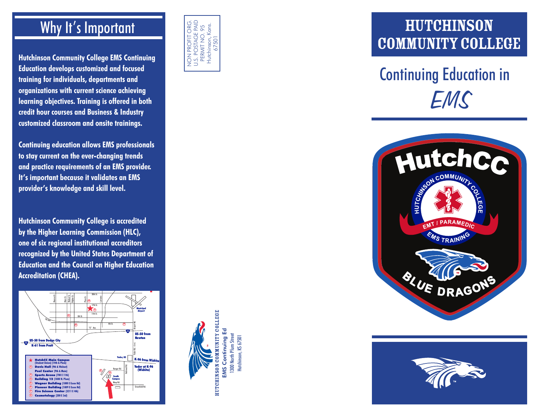#### Why It's Important

**Hutchinson Community College EMS Continuing Education develops customized and focused training for individuals, departments and organizations with current science achieving learning objectives. Training is offered in both credit hour courses and Business & Industry customized classroom and onsite trainings.** 

**Continuing education allows EMS professionals to stay current on the ever-changing trends and practice requirements of an EMS provider. It's important because it validates an EMS provider's knowledge and skill level.**

**Hutchinson Community College is accredited by the Higher Learning Commission (HLC), one of six regional institutional accreditors recognized by the United States Department of Education and the Council on Higher Education Accreditation (CHEA).**





Hutchinson Community College EMS Continuing Ed 1300 North Plum Street Hutchinson, KS 67501

HUTCHINSON COMMUNITY COLLEGE **EMS Continuing Ed** 1300 North Plum Street Hutchinson, KS 67501

# COMMUNITY COLLEGE Continuing Education in



HUTCHINSON